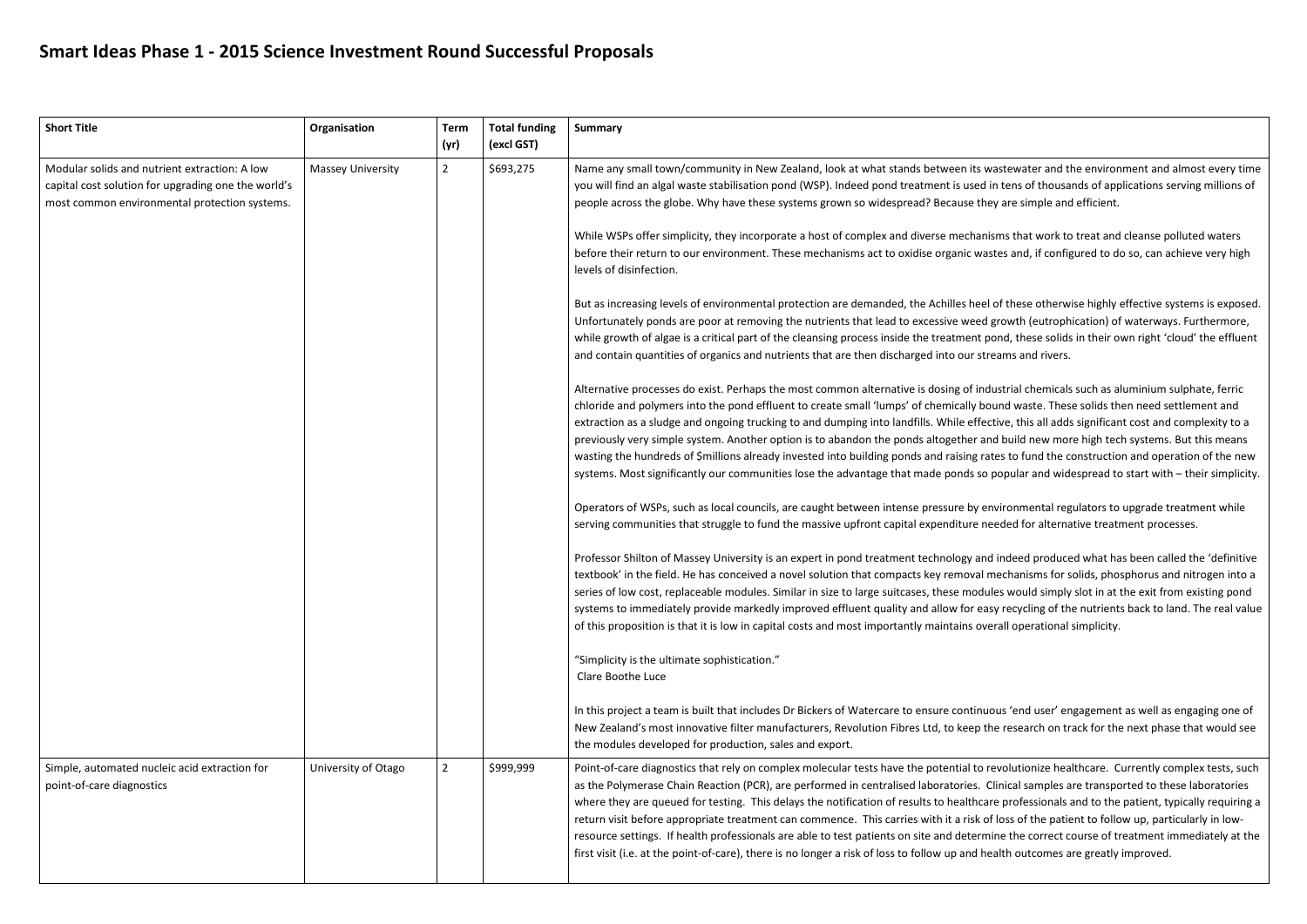## **Smart Ideas Phase 1 - 2015 Science Investment Round Successful Proposals**

| <b>Short Title</b>                                                                                                                                    | Organisation             | <b>Term</b><br>(yr) | <b>Total funding</b><br>(excl GST) | <b>Summary</b>                                                                                                                                                                                                                                                                                                                                                                                                                                                                                                                                                                                                                                                                                                                                                                                                                                                                                                                                                                                                                                                                                                                                                                                                                                                                                                                                                                                                                                                                                                                                                                                                                                                                                                                                                                                                                                                                                                                                                                                                                                                          |
|-------------------------------------------------------------------------------------------------------------------------------------------------------|--------------------------|---------------------|------------------------------------|-------------------------------------------------------------------------------------------------------------------------------------------------------------------------------------------------------------------------------------------------------------------------------------------------------------------------------------------------------------------------------------------------------------------------------------------------------------------------------------------------------------------------------------------------------------------------------------------------------------------------------------------------------------------------------------------------------------------------------------------------------------------------------------------------------------------------------------------------------------------------------------------------------------------------------------------------------------------------------------------------------------------------------------------------------------------------------------------------------------------------------------------------------------------------------------------------------------------------------------------------------------------------------------------------------------------------------------------------------------------------------------------------------------------------------------------------------------------------------------------------------------------------------------------------------------------------------------------------------------------------------------------------------------------------------------------------------------------------------------------------------------------------------------------------------------------------------------------------------------------------------------------------------------------------------------------------------------------------------------------------------------------------------------------------------------------------|
| Modular solids and nutrient extraction: A low<br>capital cost solution for upgrading one the world's<br>most common environmental protection systems. | <b>Massey University</b> | $\overline{2}$      | \$693,275                          | Name any small town/community in New Zealand, look at what stands between its v<br>you will find an algal waste stabilisation pond (WSP). Indeed pond treatment is used<br>people across the globe. Why have these systems grown so widespread? Because th<br>While WSPs offer simplicity, they incorporate a host of complex and diverse mechan<br>before their return to our environment. These mechanisms act to oxidise organic wa<br>levels of disinfection.<br>But as increasing levels of environmental protection are demanded, the Achilles hee<br>Unfortunately ponds are poor at removing the nutrients that lead to excessive weed<br>while growth of algae is a critical part of the cleansing process inside the treatment<br>and contain quantities of organics and nutrients that are then discharged into our st<br>Alternative processes do exist. Perhaps the most common alternative is dosing of in<br>chloride and polymers into the pond effluent to create small 'lumps' of chemically b<br>extraction as a sludge and ongoing trucking to and dumping into landfills. While effe<br>previously very simple system. Another option is to abandon the ponds altogether a<br>wasting the hundreds of \$millions already invested into building ponds and raising ra<br>systems. Most significantly our communities lose the advantage that made ponds sc<br>Operators of WSPs, such as local councils, are caught between intense pressure by e<br>serving communities that struggle to fund the massive upfront capital expenditure r<br>Professor Shilton of Massey University is an expert in pond treatment technology an<br>textbook' in the field. He has conceived a novel solution that compacts key removal<br>series of low cost, replaceable modules. Similar in size to large suitcases, these modi<br>systems to immediately provide markedly improved effluent quality and allow for ea<br>of this proposition is that it is low in capital costs and most importantly maintains ov<br>"Simplicity is the ultimate sophistication." |
|                                                                                                                                                       |                          |                     |                                    | Clare Boothe Luce<br>In this project a team is built that includes Dr Bickers of Watercare to ensure continu<br>New Zealand's most innovative filter manufacturers, Revolution Fibres Ltd, to keep t<br>the modules developed for production, sales and export.                                                                                                                                                                                                                                                                                                                                                                                                                                                                                                                                                                                                                                                                                                                                                                                                                                                                                                                                                                                                                                                                                                                                                                                                                                                                                                                                                                                                                                                                                                                                                                                                                                                                                                                                                                                                         |
| Simple, automated nucleic acid extraction for<br>point-of-care diagnostics                                                                            | University of Otago      | $\overline{2}$      | \$999,999                          | Point-of-care diagnostics that rely on complex molecular tests have the potential to<br>as the Polymerase Chain Reaction (PCR), are performed in centralised laboratories.<br>where they are queued for testing. This delays the notification of results to healthca<br>return visit before appropriate treatment can commence. This carries with it a risk o<br>resource settings. If health professionals are able to test patients on site and detern<br>first visit (i.e. at the point-of-care), there is no longer a risk of loss to follow up and h                                                                                                                                                                                                                                                                                                                                                                                                                                                                                                                                                                                                                                                                                                                                                                                                                                                                                                                                                                                                                                                                                                                                                                                                                                                                                                                                                                                                                                                                                                               |

wastewater and the environment and almost every time I in tens of thousands of applications serving millions of hey are simple and efficient.

nisms that work to treat and cleanse polluted waters astes and, if configured to do so, can achieve very high

el of these otherwise highly effective systems is exposed. d growth (eutrophication) of waterways. Furthermore, pond, these solids in their own right 'cloud' the effluent treams and rivers.

dustrial chemicals such as aluminium sulphate, ferric oound waste. These solids then need settlement and ective, this all adds significant cost and complexity to a and build new more high tech systems. But this means rates to fund the construction and operation of the new o popular and widespread to start with – their simplicity.

environmental regulators to upgrade treatment while needed for alternative treatment processes.

nd indeed produced what has been called the 'definitive mechanisms for solids, phosphorus and nitrogen into a lules would simply slot in at the exit from existing pond asy recycling of the nutrients back to land. The real value verall operational simplicity.

uous 'end user' engagement as well as engaging one of the research on track for the next phase that would see

revolutionize healthcare. Currently complex tests, such Clinical samples are transported to these laboratories are professionals and to the patient, typically requiring a of loss of the patient to follow up, particularly in lowmine the correct course of treatment immediately at the nealth outcomes are greatly improved.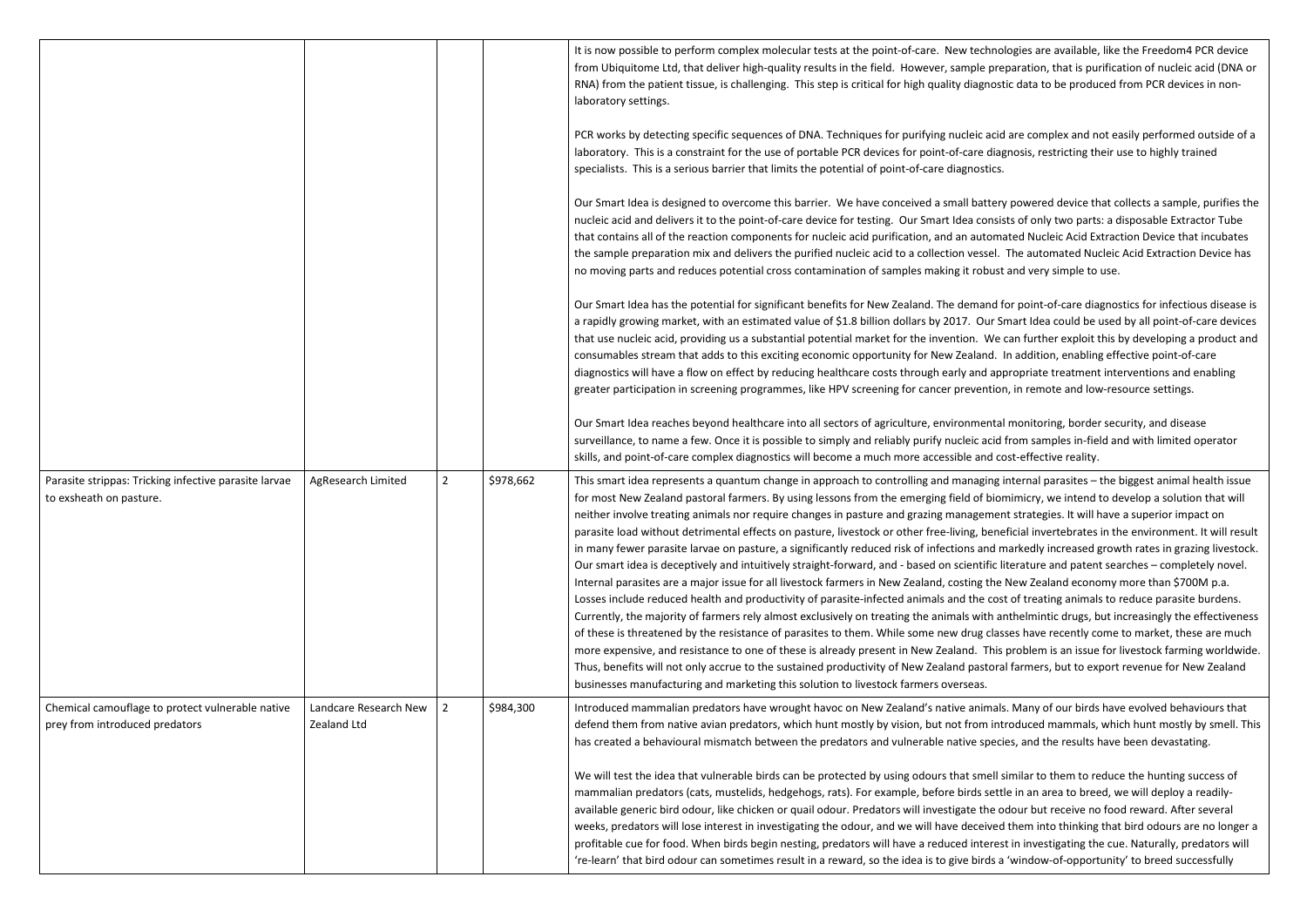|                                                                                    |                                      |                |           | It is now possible to perform complex molecular tests at the point-of-care. New techno<br>from Ubiquitome Ltd, that deliver high-quality results in the field. However, sample pre<br>RNA) from the patient tissue, is challenging. This step is critical for high quality diagnost<br>laboratory settings.                                                                                                                                                                                                                                                                                                                                                                                                                                                                                                                                                                                                                                                                                                                                                                                                                                                                                                                         |
|------------------------------------------------------------------------------------|--------------------------------------|----------------|-----------|-------------------------------------------------------------------------------------------------------------------------------------------------------------------------------------------------------------------------------------------------------------------------------------------------------------------------------------------------------------------------------------------------------------------------------------------------------------------------------------------------------------------------------------------------------------------------------------------------------------------------------------------------------------------------------------------------------------------------------------------------------------------------------------------------------------------------------------------------------------------------------------------------------------------------------------------------------------------------------------------------------------------------------------------------------------------------------------------------------------------------------------------------------------------------------------------------------------------------------------|
|                                                                                    |                                      |                |           | PCR works by detecting specific sequences of DNA. Techniques for purifying nucleic acid<br>laboratory. This is a constraint for the use of portable PCR devices for point-of-care diag<br>specialists. This is a serious barrier that limits the potential of point-of-care diagnostics.                                                                                                                                                                                                                                                                                                                                                                                                                                                                                                                                                                                                                                                                                                                                                                                                                                                                                                                                            |
|                                                                                    |                                      |                |           | Our Smart Idea is designed to overcome this barrier. We have conceived a small battery<br>nucleic acid and delivers it to the point-of-care device for testing. Our Smart Idea consis<br>that contains all of the reaction components for nucleic acid purification, and an automa<br>the sample preparation mix and delivers the purified nucleic acid to a collection vessel.<br>no moving parts and reduces potential cross contamination of samples making it robust                                                                                                                                                                                                                                                                                                                                                                                                                                                                                                                                                                                                                                                                                                                                                            |
|                                                                                    |                                      |                |           | Our Smart Idea has the potential for significant benefits for New Zealand. The demand f<br>a rapidly growing market, with an estimated value of \$1.8 billion dollars by 2017. Our S<br>that use nucleic acid, providing us a substantial potential market for the invention. We<br>consumables stream that adds to this exciting economic opportunity for New Zealand.<br>diagnostics will have a flow on effect by reducing healthcare costs through early and ap<br>greater participation in screening programmes, like HPV screening for cancer preventior                                                                                                                                                                                                                                                                                                                                                                                                                                                                                                                                                                                                                                                                      |
|                                                                                    |                                      |                |           | Our Smart Idea reaches beyond healthcare into all sectors of agriculture, environmental<br>surveillance, to name a few. Once it is possible to simply and reliably purify nucleic acid<br>skills, and point-of-care complex diagnostics will become a much more accessible and co                                                                                                                                                                                                                                                                                                                                                                                                                                                                                                                                                                                                                                                                                                                                                                                                                                                                                                                                                   |
| Parasite strippas: Tricking infective parasite larvae<br>to exsheath on pasture.   | AgResearch Limited                   | $\overline{2}$ | \$978,662 | This smart idea represents a quantum change in approach to controlling and managing i<br>for most New Zealand pastoral farmers. By using lessons from the emerging field of bior<br>neither involve treating animals nor require changes in pasture and grazing managemer<br>parasite load without detrimental effects on pasture, livestock or other free-living, bene<br>in many fewer parasite larvae on pasture, a significantly reduced risk of infections and n<br>Our smart idea is deceptively and intuitively straight-forward, and - based on scientific li<br>Internal parasites are a major issue for all livestock farmers in New Zealand, costing the<br>Losses include reduced health and productivity of parasite-infected animals and the cos<br>Currently, the majority of farmers rely almost exclusively on treating the animals with a<br>of these is threatened by the resistance of parasites to them. While some new drug clas<br>more expensive, and resistance to one of these is already present in New Zealand. This<br>Thus, benefits will not only accrue to the sustained productivity of New Zealand pastora<br>businesses manufacturing and marketing this solution to livestock farmers overseas. |
| Chemical camouflage to protect vulnerable native<br>prey from introduced predators | Landcare Research New<br>Zealand Ltd | 2              | \$984,300 | Introduced mammalian predators have wrought havoc on New Zealand's native animals<br>defend them from native avian predators, which hunt mostly by vision, but not from int<br>has created a behavioural mismatch between the predators and vulnerable native speci                                                                                                                                                                                                                                                                                                                                                                                                                                                                                                                                                                                                                                                                                                                                                                                                                                                                                                                                                                 |
|                                                                                    |                                      |                |           | We will test the idea that vulnerable birds can be protected by using odours that smell s<br>mammalian predators (cats, mustelids, hedgehogs, rats). For example, before birds sett<br>available generic bird odour, like chicken or quail odour. Predators will investigate the o<br>weeks, predators will lose interest in investigating the odour, and we will have deceived<br>profitable cue for food. When birds begin nesting, predators will have a reduced interes<br>'re-learn' that bird odour can sometimes result in a reward, so the idea is to give birds a                                                                                                                                                                                                                                                                                                                                                                                                                                                                                                                                                                                                                                                          |

hnologies are available, like the Freedom4 PCR device preparation, that is purification of nucleic acid (DNA or nostic data to be produced from PCR devices in non-

acid are complex and not easily performed outside of a diagnosis, restricting their use to highly trained

ttery powered device that collects a sample, purifies the onsists of only two parts: a disposable Extractor Tube tomated Nucleic Acid Extraction Device that incubates sel. The automated Nucleic Acid Extraction Device has oust and very simple to use.

nd for point-of-care diagnostics for infectious disease is ur Smart Idea could be used by all point-of-care devices We can further exploit this by developing a product and nd. In addition, enabling effective point-of-care appropriate treatment interventions and enabling ition, in remote and low-resource settings.

Intal monitoring, border security, and disease acid from samples in-field and with limited operator nd cost-effective reality.

ging internal parasites - the biggest animal health issue biomimicry, we intend to develop a solution that will ment strategies. It will have a superior impact on peneficial invertebrates in the environment. It will result nd markedly increased growth rates in grazing livestock. Ific literature and patent searches - completely novel. the New Zealand economy more than \$700M p.a. cost of treating animals to reduce parasite burdens. th anthelmintic drugs, but increasingly the effectiveness classes have recently come to market, these are much This problem is an issue for livestock farming worldwide. toral farmers, but to export revenue for New Zealand

mals. Many of our birds have evolved behaviours that introduced mammals, which hunt mostly by smell. This pecies, and the results have been devastating.

ell similar to them to reduce the hunting success of settle in an area to breed, we will deploy a readilyne odour but receive no food reward. After several ived them into thinking that bird odours are no longer a erest in investigating the cue. Naturally, predators will ds a 'window-of-opportunity' to breed successfully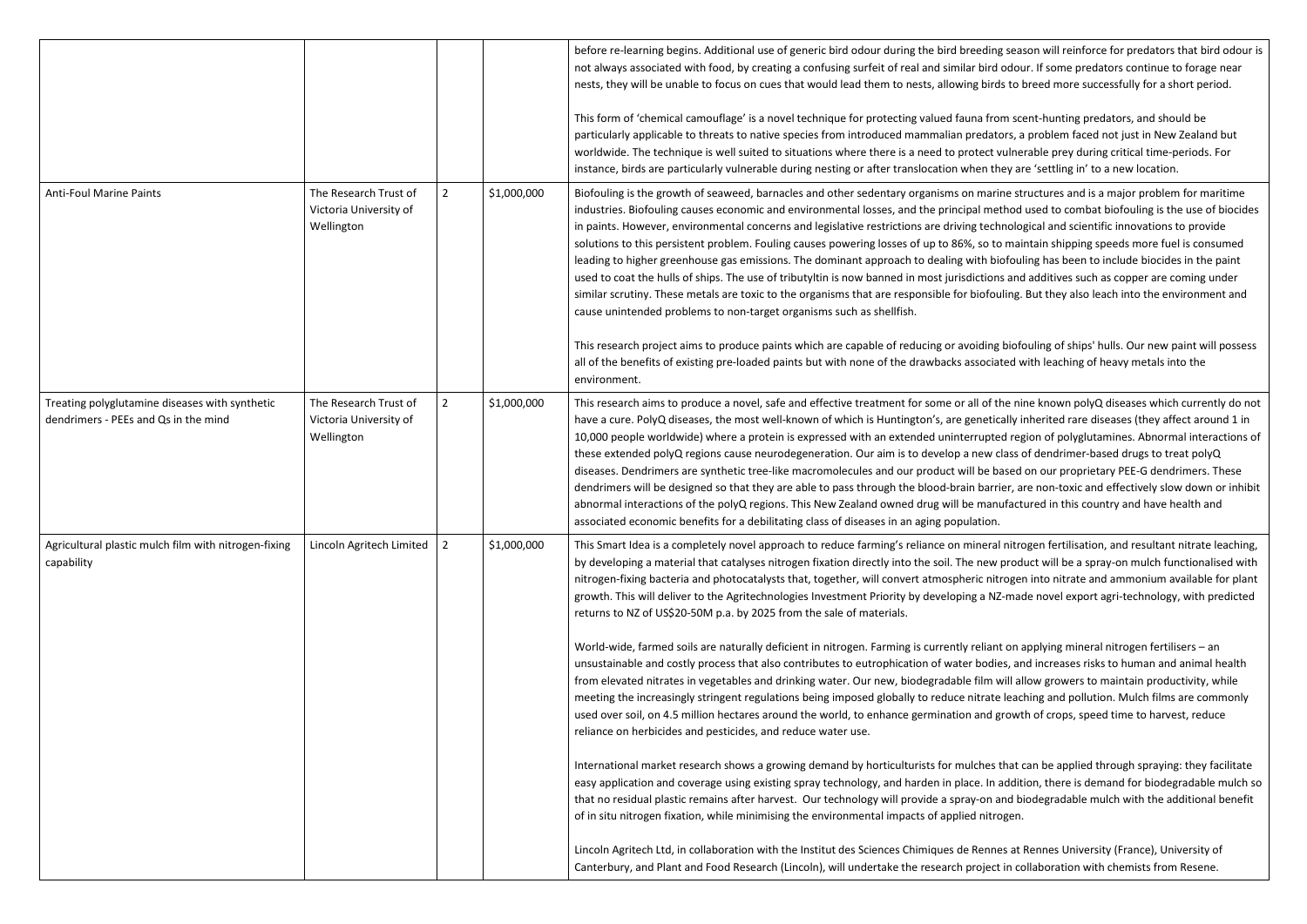|                                                                                        |                                                               |              |             | before re-learning begins. Additional use of generic bird odour during the bird breeding sea<br>not always associated with food, by creating a confusing surfeit of real and similar bird odou<br>nests, they will be unable to focus on cues that would lead them to nests, allowing birds to<br>This form of 'chemical camouflage' is a novel technique for protecting valued fauna from sc                                                                                                                                                                                                                                                                                                                                                                              |
|----------------------------------------------------------------------------------------|---------------------------------------------------------------|--------------|-------------|----------------------------------------------------------------------------------------------------------------------------------------------------------------------------------------------------------------------------------------------------------------------------------------------------------------------------------------------------------------------------------------------------------------------------------------------------------------------------------------------------------------------------------------------------------------------------------------------------------------------------------------------------------------------------------------------------------------------------------------------------------------------------|
|                                                                                        |                                                               |              |             | particularly applicable to threats to native species from introduced mammalian predators, a<br>worldwide. The technique is well suited to situations where there is a need to protect vulne<br>instance, birds are particularly vulnerable during nesting or after translocation when they are                                                                                                                                                                                                                                                                                                                                                                                                                                                                             |
| <b>Anti-Foul Marine Paints</b>                                                         | The Research Trust of<br>Victoria University of<br>Wellington | 2            | \$1,000,000 | Biofouling is the growth of seaweed, barnacles and other sedentary organisms on marine st<br>industries. Biofouling causes economic and environmental losses, and the principal method<br>in paints. However, environmental concerns and legislative restrictions are driving technolo<br>solutions to this persistent problem. Fouling causes powering losses of up to 86%, so to mai<br>leading to higher greenhouse gas emissions. The dominant approach to dealing with biofou<br>used to coat the hulls of ships. The use of tributyltin is now banned in most jurisdictions and<br>similar scrutiny. These metals are toxic to the organisms that are responsible for biofouling.<br>cause unintended problems to non-target organisms such as shellfish.            |
|                                                                                        |                                                               |              |             | This research project aims to produce paints which are capable of reducing or avoiding biof<br>all of the benefits of existing pre-loaded paints but with none of the drawbacks associated v<br>environment.                                                                                                                                                                                                                                                                                                                                                                                                                                                                                                                                                               |
| Treating polyglutamine diseases with synthetic<br>dendrimers - PEEs and Qs in the mind | The Research Trust of<br>Victoria University of<br>Wellington | $\mathbf{2}$ | \$1,000,000 | This research aims to produce a novel, safe and effective treatment for some or all of the ni<br>have a cure. PolyQ diseases, the most well-known of which is Huntington's, are genetically i<br>10,000 people worldwide) where a protein is expressed with an extended uninterrupted rea<br>these extended polyQ regions cause neurodegeneration. Our aim is to develop a new class<br>diseases. Dendrimers are synthetic tree-like macromolecules and our product will be based<br>dendrimers will be designed so that they are able to pass through the blood-brain barrier, a<br>abnormal interactions of the polyQ regions. This New Zealand owned drug will be manufact<br>associated economic benefits for a debilitating class of diseases in an aging population. |
| Agricultural plastic mulch film with nitrogen-fixing<br>capability                     | Lincoln Agritech Limited                                      | 2            | \$1,000,000 | This Smart Idea is a completely novel approach to reduce farming's reliance on mineral nitro<br>by developing a material that catalyses nitrogen fixation directly into the soil. The new prod<br>nitrogen-fixing bacteria and photocatalysts that, together, will convert atmospheric nitroge<br>growth. This will deliver to the Agritechnologies Investment Priority by developing a NZ-ma<br>returns to NZ of US\$20-50M p.a. by 2025 from the sale of materials.                                                                                                                                                                                                                                                                                                      |
|                                                                                        |                                                               |              |             | World-wide, farmed soils are naturally deficient in nitrogen. Farming is currently reliant on a<br>unsustainable and costly process that also contributes to eutrophication of water bodies, are<br>from elevated nitrates in vegetables and drinking water. Our new, biodegradable film will al<br>meeting the increasingly stringent regulations being imposed globally to reduce nitrate lead<br>used over soil, on 4.5 million hectares around the world, to enhance germination and growt<br>reliance on herbicides and pesticides, and reduce water use.                                                                                                                                                                                                             |
|                                                                                        |                                                               |              |             | International market research shows a growing demand by horticulturists for mulches that<br>easy application and coverage using existing spray technology, and harden in place. In addit<br>that no residual plastic remains after harvest. Our technology will provide a spray-on and b<br>of in situ nitrogen fixation, while minimising the environmental impacts of applied nitrogen.                                                                                                                                                                                                                                                                                                                                                                                  |
|                                                                                        |                                                               |              |             | Lincoln Agritech Ltd, in collaboration with the Institut des Sciences Chimiques de Rennes at<br>Canterbury, and Plant and Food Research (Lincoln), will undertake the research project in co                                                                                                                                                                                                                                                                                                                                                                                                                                                                                                                                                                               |

ding season will reinforce for predators that bird odour is ird odour. If some predators continue to forage near birds to breed more successfully for a short period.

from scent-hunting predators, and should be dators, a problem faced not just in New Zealand but ect vulnerable prey during critical time-periods. For ithey are 'settling in' to a new location.

narine structures and is a major problem for maritime method used to combat biofouling is the use of biocides echnological and scientific innovations to provide o to maintain shipping speeds more fuel is consumed biofouling has been to include biocides in the paint ions and additives such as copper are coming under ofouling. But they also leach into the environment and

ling biofouling of ships' hulls. Our new paint will possess ociated with leaching of heavy metals into the

of the nine known polyQ diseases which currently do not etically inherited rare diseases (they affect around 1 in Ipted region of polyglutamines. Abnormal interactions of w class of dendrimer-based drugs to treat polyQ e based on our proprietary PEE-G dendrimers. These arrier, are non-toxic and effectively slow down or inhibit nanufactured in this country and have health and

eral nitrogen fertilisation, and resultant nitrate leaching, ew product will be a spray-on mulch functionalised with nitrogen into nitrate and ammonium available for plant NZ-made novel export agri-technology, with predicted

liant on applying mineral nitrogen fertilisers – an odies, and increases risks to human and animal health m will allow growers to maintain productivity, while rate leaching and pollution. Mulch films are commonly nd growth of crops, speed time to harvest, reduce

Internation shows a growing intersearch shows that can be applied through spraying: they facilitate In addition, there is demand for biodegradable mulch so on and biodegradable mulch with the additional benefit

Innes at Rennes University (France), University of ject in collaboration with chemists from Resene.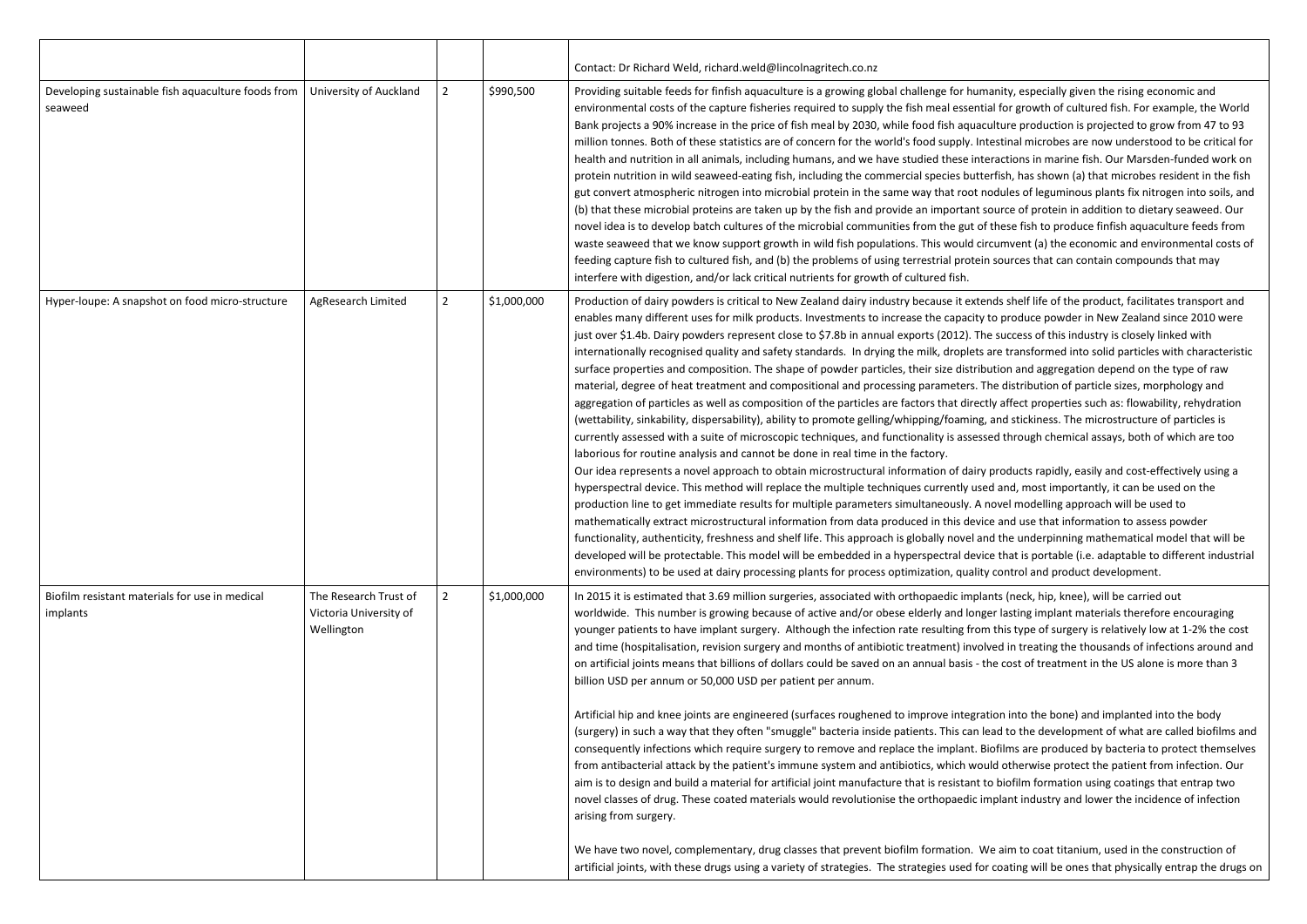|                                                               |                                                               |                |             | Contact: Dr Richard Weld, richard.weld@lincolnagritech.co.nz                                                                                                                                                                                                                                                                                                                                                                                                                                                                                                                                                                                                                                                                                                                                                                                                                                                                                                                                                                                                                                                                                                                                                                                                                                                                                                                                                                                                                                                                                                   |
|---------------------------------------------------------------|---------------------------------------------------------------|----------------|-------------|----------------------------------------------------------------------------------------------------------------------------------------------------------------------------------------------------------------------------------------------------------------------------------------------------------------------------------------------------------------------------------------------------------------------------------------------------------------------------------------------------------------------------------------------------------------------------------------------------------------------------------------------------------------------------------------------------------------------------------------------------------------------------------------------------------------------------------------------------------------------------------------------------------------------------------------------------------------------------------------------------------------------------------------------------------------------------------------------------------------------------------------------------------------------------------------------------------------------------------------------------------------------------------------------------------------------------------------------------------------------------------------------------------------------------------------------------------------------------------------------------------------------------------------------------------------|
| Developing sustainable fish aquaculture foods from<br>seaweed | <b>University of Auckland</b>                                 | $\overline{2}$ | \$990,500   | Providing suitable feeds for finfish aquaculture is a growing global challenge for hum<br>environmental costs of the capture fisheries required to supply the fish meal essenti<br>Bank projects a 90% increase in the price of fish meal by 2030, while food fish aquac<br>million tonnes. Both of these statistics are of concern for the world's food supply. In<br>health and nutrition in all animals, including humans, and we have studied these inte<br>protein nutrition in wild seaweed-eating fish, including the commercial species butte<br>gut convert atmospheric nitrogen into microbial protein in the same way that root n<br>(b) that these microbial proteins are taken up by the fish and provide an important s<br>novel idea is to develop batch cultures of the microbial communities from the gut of<br>waste seaweed that we know support growth in wild fish populations. This would cir<br>feeding capture fish to cultured fish, and (b) the problems of using terrestrial protein<br>interfere with digestion, and/or lack critical nutrients for growth of cultured fish.                                                                                                                                                                                                                                                                                                                                                                                                                                                       |
| Hyper-loupe: A snapshot on food micro-structure               | AgResearch Limited                                            | $\overline{2}$ | \$1,000,000 | Production of dairy powders is critical to New Zealand dairy industry because it exte<br>enables many different uses for milk products. Investments to increase the capacity<br>just over \$1.4b. Dairy powders represent close to \$7.8b in annual exports (2012). Th<br>internationally recognised quality and safety standards. In drying the milk, droplets<br>surface properties and composition. The shape of powder particles, their size distrib<br>material, degree of heat treatment and compositional and processing parameters. T<br>aggregation of particles as well as composition of the particles are factors that direct<br>(wettability, sinkability, dispersability), ability to promote gelling/whipping/foaming,<br>currently assessed with a suite of microscopic techniques, and functionality is assess<br>laborious for routine analysis and cannot be done in real time in the factory.<br>Our idea represents a novel approach to obtain microstructural information of dairy<br>hyperspectral device. This method will replace the multiple techniques currently use<br>production line to get immediate results for multiple parameters simultaneously. A r<br>mathematically extract microstructural information from data produced in this device<br>functionality, authenticity, freshness and shelf life. This approach is globally novel ar<br>developed will be protectable. This model will be embedded in a hyperspectral device<br>environments) to be used at dairy processing plants for process optimization, quality |
| Biofilm resistant materials for use in medical<br>implants    | The Research Trust of<br>Victoria University of<br>Wellington | $\overline{2}$ | \$1,000,000 | In 2015 it is estimated that 3.69 million surgeries, associated with orthopaedic impla<br>worldwide. This number is growing because of active and/or obese elderly and long<br>younger patients to have implant surgery. Although the infection rate resulting fron<br>and time (hospitalisation, revision surgery and months of antibiotic treatment) invol<br>on artificial joints means that billions of dollars could be saved on an annual basis - t<br>billion USD per annum or 50,000 USD per patient per annum.<br>Artificial hip and knee joints are engineered (surfaces roughened to improve integra<br>(surgery) in such a way that they often "smuggle" bacteria inside patients. This can le<br>consequently infections which require surgery to remove and replace the implant. B<br>from antibacterial attack by the patient's immune system and antibiotics, which wou<br>aim is to design and build a material for artificial joint manufacture that is resistant t<br>novel classes of drug. These coated materials would revolutionise the orthopaedic in<br>arising from surgery.                                                                                                                                                                                                                                                                                                                                                                                                                                                         |
|                                                               |                                                               |                |             | We have two novel, complementary, drug classes that prevent biofilm formation. W<br>artificial joints, with these drugs using a variety of strategies. The strategies used for                                                                                                                                                                                                                                                                                                                                                                                                                                                                                                                                                                                                                                                                                                                                                                                                                                                                                                                                                                                                                                                                                                                                                                                                                                                                                                                                                                                 |

nanity, especially given the rising economic and ial for growth of cultured fish. For example, the World culture production is projected to grow from 47 to 93 testinal microbes are now understood to be critical for eractions in marine fish. Our Marsden-funded work on erfish, has shown (a) that microbes resident in the fish nodules of leguminous plants fix nitrogen into soils, and source of protein in addition to dietary seaweed. Our these fish to produce finfish aquaculture feeds from rcumvent (a) the economic and environmental costs of n sources that can contain compounds that may

ends shelf life of the product, facilitates transport and to produce powder in New Zealand since 2010 were ne success of this industry is closely linked with are transformed into solid particles with characteristic oution and aggregation depend on the type of raw The distribution of particle sizes, morphology and tly affect properties such as: flowability, rehydration and stickiness. The microstructure of particles is sed through chemical assays, both of which are too

products rapidly, easily and cost-effectively using a ed and, most importantly, it can be used on the novel modelling approach will be used to ce and use that information to assess powder Inctional inclusted and shelf and the under provel is also and the underpinning mathematical model that will be ce that is portable (i.e. adaptable to different industrial  $\alpha$  control and product development.

ants (neck, hip, knee), will be carried out ger lasting implant materials therefore encouraging m this type of surgery is relatively low at 1-2% the cost lved in treating the thousands of infections around and the cost of treatment in the US alone is more than 3

tion into the bone) and implanted into the body ead to the development of what are called biofilms and iofilms are produced by bacteria to protect themselves uld otherwise protect the patient from infection. Our to biofilm formation using coatings that entrap two mplant industry and lower the incidence of infection

Ve aim to coat titanium, used in the construction of coating will be ones that physically entrap the drugs on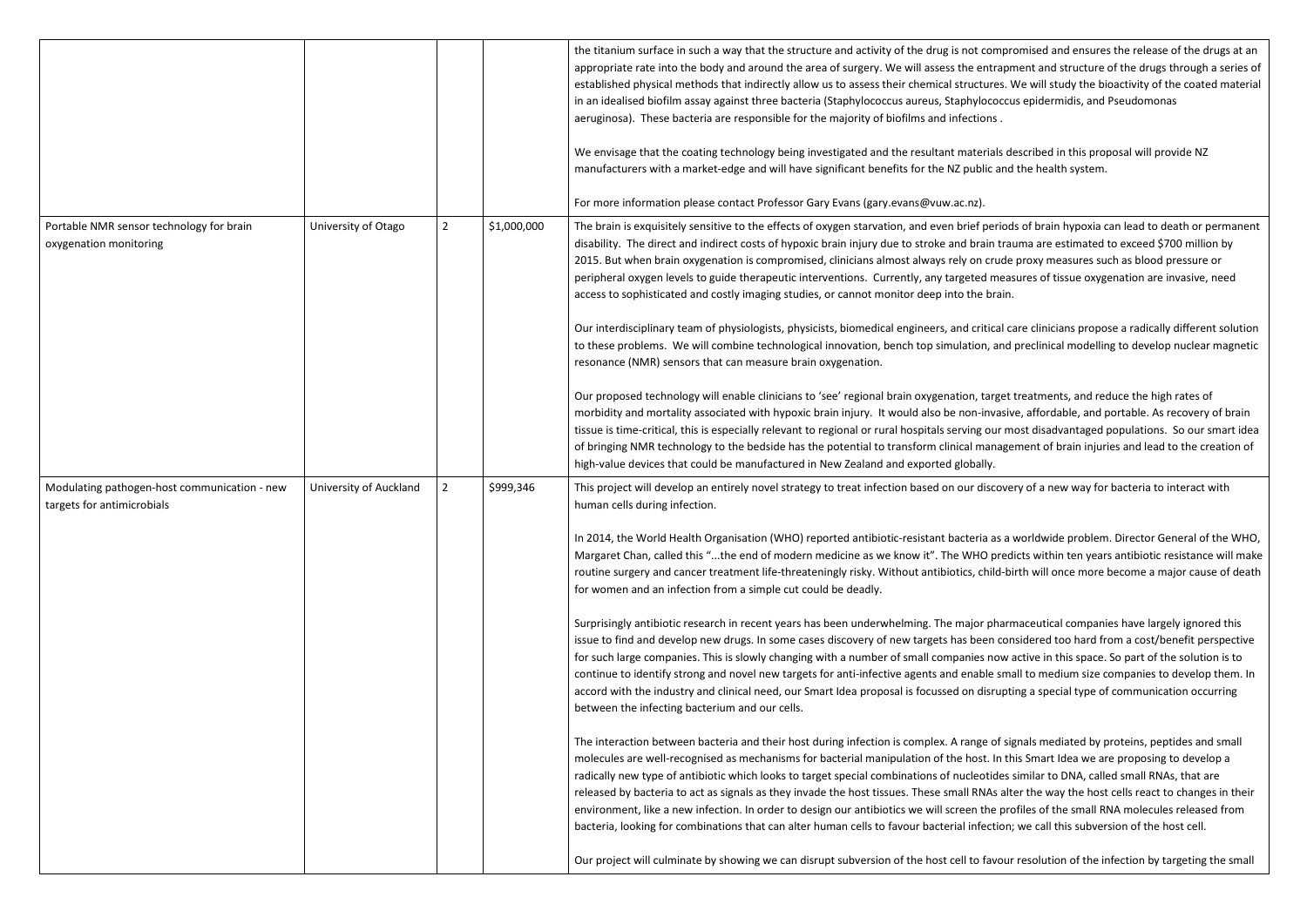|                                                                            |                        |                |             | the titanium surface in such a way that the structure and activity of the drug is not compr<br>appropriate rate into the body and around the area of surgery. We will assess the entrapr<br>established physical methods that indirectly allow us to assess their chemical structures. \<br>in an idealised biofilm assay against three bacteria (Staphylococcus aureus, Staphylococcu<br>aeruginosa). These bacteria are responsible for the majority of biofilms and infections.<br>We envisage that the coating technology being investigated and the resultant materials d<br>manufacturers with a market-edge and will have significant benefits for the NZ public and                                                                                                                                                                                                                                                                                                                                                                                                                                                                                                                                                                                                                                                                                                                                                                                                                                                                                                                                                                                                                                   |
|----------------------------------------------------------------------------|------------------------|----------------|-------------|---------------------------------------------------------------------------------------------------------------------------------------------------------------------------------------------------------------------------------------------------------------------------------------------------------------------------------------------------------------------------------------------------------------------------------------------------------------------------------------------------------------------------------------------------------------------------------------------------------------------------------------------------------------------------------------------------------------------------------------------------------------------------------------------------------------------------------------------------------------------------------------------------------------------------------------------------------------------------------------------------------------------------------------------------------------------------------------------------------------------------------------------------------------------------------------------------------------------------------------------------------------------------------------------------------------------------------------------------------------------------------------------------------------------------------------------------------------------------------------------------------------------------------------------------------------------------------------------------------------------------------------------------------------------------------------------------------------|
| Portable NMR sensor technology for brain<br>oxygenation monitoring         | University of Otago    | $\overline{2}$ | \$1,000,000 | For more information please contact Professor Gary Evans (gary.evans@vuw.ac.nz).<br>The brain is exquisitely sensitive to the effects of oxygen starvation, and even brief period<br>disability. The direct and indirect costs of hypoxic brain injury due to stroke and brain train<br>2015. But when brain oxygenation is compromised, clinicians almost always rely on crude<br>peripheral oxygen levels to guide therapeutic interventions. Currently, any targeted measure<br>access to sophisticated and costly imaging studies, or cannot monitor deep into the brain.<br>Our interdisciplinary team of physiologists, physicists, biomedical engineers, and critical ca<br>to these problems. We will combine technological innovation, bench top simulation, and<br>resonance (NMR) sensors that can measure brain oxygenation.<br>Our proposed technology will enable clinicians to 'see' regional brain oxygenation, target<br>morbidity and mortality associated with hypoxic brain injury. It would also be non-invasiv<br>tissue is time-critical, this is especially relevant to regional or rural hospitals serving our m<br>of bringing NMR technology to the bedside has the potential to transform clinical manage<br>high-value devices that could be manufactured in New Zealand and exported globally.                                                                                                                                                                                                                                                                                                                                                                                  |
| Modulating pathogen-host communication - new<br>targets for antimicrobials | University of Auckland | $\overline{2}$ | \$999,346   | This project will develop an entirely novel strategy to treat infection based on our discove<br>human cells during infection.<br>In 2014, the World Health Organisation (WHO) reported antibiotic-resistant bacteria as a<br>Margaret Chan, called this "the end of modern medicine as we know it". The WHO pred<br>routine surgery and cancer treatment life-threateningly risky. Without antibiotics, child-bi<br>for women and an infection from a simple cut could be deadly.<br>Surprisingly antibiotic research in recent years has been underwhelming. The major pharr<br>issue to find and develop new drugs. In some cases discovery of new targets has been cor<br>for such large companies. This is slowly changing with a number of small companies now a<br>continue to identify strong and novel new targets for anti-infective agents and enable sma<br>accord with the industry and clinical need, our Smart Idea proposal is focussed on disrupti<br>between the infecting bacterium and our cells.<br>The interaction between bacteria and their host during infection is complex. A range of sig<br>molecules are well-recognised as mechanisms for bacterial manipulation of the host. In the<br>radically new type of antibiotic which looks to target special combinations of nucleotides<br>released by bacteria to act as signals as they invade the host tissues. These small RNAs alt<br>environment, like a new infection. In order to design our antibiotics we will screen the pro<br>bacteria, looking for combinations that can alter human cells to favour bacterial infection;<br>Our project will culminate by showing we can disrupt subversion of the host cell to favour |

compromised and ensures the release of the drugs at an atrapment and structure of the drugs through a series of ares. We will study the bioactivity of the coated material in accoccus epidermidis, and Pseudomonas

rials described in this proposal will provide NZ lic and the health system.

oeriods of brain hypoxia can lead to death or permanent in trauma are estimated to exceed \$700 million by crude proxy measures such as blood pressure or measures of tissue oxygenation are invasive, need

tical care clinicians propose a radically different solution to and preclinical modelling to develop nuclear magnetic

arget treatments, and reduce the high rates of invasive, affordable, and portable. As recovery of brain our most disadvantaged populations. So our smart idea anagement of brain injuries and lead to the creation of

iscovery of a new way for bacteria to interact with

as a world wide problem. Director General of the WHO, predicts within ten years antibiotic resistance will make hild-birth will once more become a major cause of death

pharmaceutical companies have largely ignored this pharmaceutical companies have largely ignored this en considered too hard from a cost/benefit perspective s now active in this space. So part of the solution is to le small to medium size companies to develop them. In isrupting a special type of communication occurring

of signals mediated by proteins, peptides and small . In this Smart Idea we are proposing to develop a tides similar to DNA, called small RNAs, that are IAs alter the way the host cells react to changes in their the profiles of the small RNA molecules released from ection; we call this subversion of the host cell.

favour resolution of the infection by targeting the small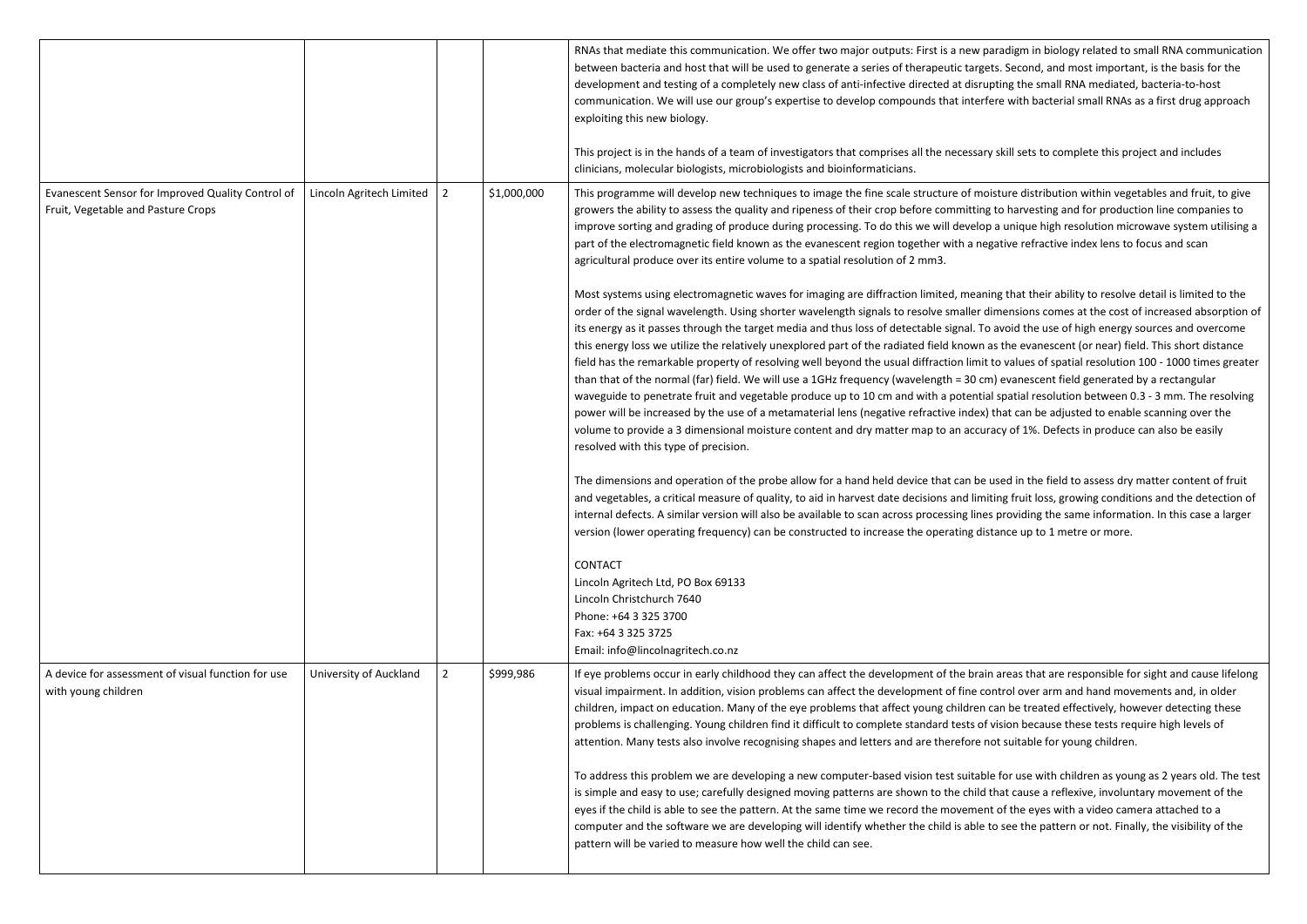|                                                                                         |                          |                |             | RNAs that mediate this communication. We offer two major outputs: First is a new p<br>between bacteria and host that will be used to generate a series of therapeutic targe<br>development and testing of a completely new class of anti-infective directed at disru<br>communication. We will use our group's expertise to develop compounds that inter<br>exploiting this new biology.                                                                                                                                                                                                                                                                                                                                                                                                                                                                        |
|-----------------------------------------------------------------------------------------|--------------------------|----------------|-------------|-----------------------------------------------------------------------------------------------------------------------------------------------------------------------------------------------------------------------------------------------------------------------------------------------------------------------------------------------------------------------------------------------------------------------------------------------------------------------------------------------------------------------------------------------------------------------------------------------------------------------------------------------------------------------------------------------------------------------------------------------------------------------------------------------------------------------------------------------------------------|
|                                                                                         |                          |                |             | This project is in the hands of a team of investigators that comprises all the necessar<br>clinicians, molecular biologists, microbiologists and bioinformaticians.                                                                                                                                                                                                                                                                                                                                                                                                                                                                                                                                                                                                                                                                                             |
| Evanescent Sensor for Improved Quality Control of<br>Fruit, Vegetable and Pasture Crops | Lincoln Agritech Limited | $\overline{2}$ | \$1,000,000 | This programme will develop new techniques to image the fine scale structure of mo<br>growers the ability to assess the quality and ripeness of their crop before committing<br>improve sorting and grading of produce during processing. To do this we will develo<br>part of the electromagnetic field known as the evanescent region together with a ne<br>agricultural produce over its entire volume to a spatial resolution of 2 mm3.                                                                                                                                                                                                                                                                                                                                                                                                                     |
|                                                                                         |                          |                |             | Most systems using electromagnetic waves for imaging are diffraction limited, mear<br>order of the signal wavelength. Using shorter wavelength signals to resolve smaller of<br>its energy as it passes through the target media and thus loss of detectable signal. To<br>this energy loss we utilize the relatively unexplored part of the radiated field known<br>field has the remarkable property of resolving well beyond the usual diffraction limit<br>than that of the normal (far) field. We will use a 1GHz frequency (wavelength = 30 c<br>waveguide to penetrate fruit and vegetable produce up to 10 cm and with a potential<br>power will be increased by the use of a metamaterial lens (negative refractive index<br>volume to provide a 3 dimensional moisture content and dry matter map to an accu<br>resolved with this type of precision. |
|                                                                                         |                          |                |             | The dimensions and operation of the probe allow for a hand held device that can be<br>and vegetables, a critical measure of quality, to aid in harvest date decisions and lim<br>internal defects. A similar version will also be available to scan across processing line<br>version (lower operating frequency) can be constructed to increase the operating di                                                                                                                                                                                                                                                                                                                                                                                                                                                                                               |
|                                                                                         |                          |                |             | <b>CONTACT</b><br>Lincoln Agritech Ltd, PO Box 69133<br>Lincoln Christchurch 7640<br>Phone: +64 3 325 3700<br>Fax: +64 3 325 3725<br>Email: info@lincolnagritech.co.nz                                                                                                                                                                                                                                                                                                                                                                                                                                                                                                                                                                                                                                                                                          |
| A device for assessment of visual function for use<br>with young children               | University of Auckland   | $\overline{2}$ | \$999,986   | If eye problems occur in early childhood they can affect the development of the brai<br>visual impairment. In addition, vision problems can affect the development of fine c<br>children, impact on education. Many of the eye problems that affect young children<br>problems is challenging. Young children find it difficult to complete standard tests of<br>attention. Many tests also involve recognising shapes and letters and are therefore i                                                                                                                                                                                                                                                                                                                                                                                                          |
|                                                                                         |                          |                |             | To address this problem we are developing a new computer-based vision test suitab<br>is simple and easy to use; carefully designed moving patterns are shown to the child<br>eyes if the child is able to see the pattern. At the same time we record the movemer<br>computer and the software we are developing will identify whether the child is able<br>pattern will be varied to measure how well the child can see.                                                                                                                                                                                                                                                                                                                                                                                                                                       |

paradigm in biology related to small RNA communication gets. Second, and most important, is the basis for the upting the small RNA mediated, bacteria-to-host fere with bacterial small RNAs as a first drug approach

ry skill sets to complete this project and includes

oisture distribution within vegetables and fruit, to give g to harvesting and for production line companies to op a unique high resolution microwave system utilising a egative refractive index lens to focus and scan

ning that their ability to resolve detail is limited to the dimensions comes at the cost of increased absorption of io avoid the use of high energy sources and overcome is as the evanescent (or near) field. This short distance it to values of spatial resolution 100 - 1000 times greater m) evanescent field generated by a rectangular ial spatial resolution between 0.3 - 3 mm. The resolving  $\alpha$ ) that can be adjusted to enable scanning over the uracy of 1%. Defects in produce can also be easily

used in the field to assess dry matter content of fruit hiting fruit loss, growing conditions and the detection of es providing the same information. In this case a larger istance up to 1 metre or more.

in areas that are responsible for sight and cause lifelong control over arm and hand movements and, in older can be treated effectively, however detecting these f vision because these tests require high levels of not suitable for young children.

ple for use with children as young as 2 years old. The test I that cause a reflexive, involuntary movement of the nt of the eyes with a video camera attached to a to see the pattern or not. Finally, the visibility of the